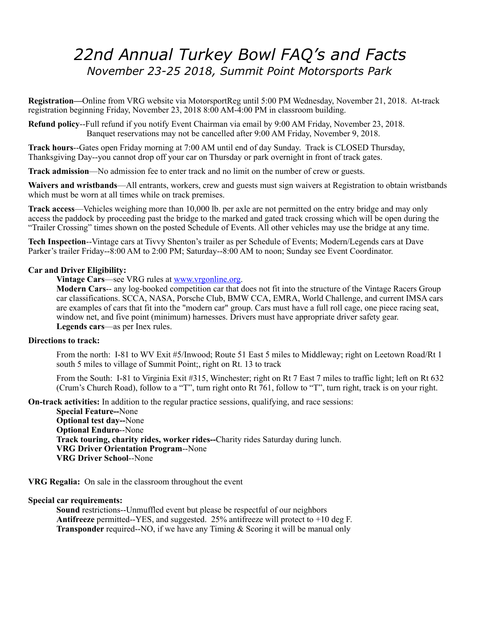# *22nd Annual Turkey Bowl FAQ's and Facts November 23-25 2018, Summit Point Motorsports Park*

**Registration—**Online from VRG website via MotorsportReg until 5:00 PM Wednesday, November 21, 2018. At-track registration beginning Friday, November 23, 2018 8:00 AM-4:00 PM in classroom building.

**Refund policy**--Full refund if you notify Event Chairman via email by 9:00 AM Friday, November 23, 2018. Banquet reservations may not be cancelled after 9:00 AM Friday, November 9, 2018.

**Track hours**--Gates open Friday morning at 7:00 AM until end of day Sunday. Track is CLOSED Thursday, Thanksgiving Day--you cannot drop off your car on Thursday or park overnight in front of track gates.

**Track admission**—No admission fee to enter track and no limit on the number of crew or guests.

**Waivers and wristbands**—All entrants, workers, crew and guests must sign waivers at Registration to obtain wristbands which must be worn at all times while on track premises.

**Track access**—Vehicles weighing more than 10,000 lb. per axle are not permitted on the entry bridge and may only access the paddock by proceeding past the bridge to the marked and gated track crossing which will be open during the "Trailer Crossing" times shown on the posted Schedule of Events. All other vehicles may use the bridge at any time.

**Tech Inspection**--Vintage cars at Tivvy Shenton's trailer as per Schedule of Events; Modern/Legends cars at Dave Parker's trailer Friday--8:00 AM to 2:00 PM; Saturday--8:00 AM to noon; Sunday see Event Coordinator.

#### **Car and Driver Eligibility:**

**Vintage Cars**—see VRG rules at [www.vrgonline.org](http://www.vrgonline.org).

**Modern Cars**-- any log-booked competition car that does not fit into the structure of the Vintage Racers Group car classifications. SCCA, NASA, Porsche Club, BMW CCA, EMRA, World Challenge, and current IMSA cars are examples of cars that fit into the "modern car" group. Cars must have a full roll cage, one piece racing seat, window net, and five point (minimum) harnesses. Drivers must have appropriate driver safety gear. **Legends cars**—as per Inex rules.

#### **Directions to track:**

From the north: I-81 to WV Exit #5/Inwood; Route 51 East 5 miles to Middleway; right on Leetown Road/Rt 1 south 5 miles to village of Summit Point;, right on Rt. 13 to track

From the South: I-81 to Virginia Exit #315, Winchester; right on Rt 7 East 7 miles to traffic light; left on Rt 632 (Crum's Church Road), follow to a "T", turn right onto Rt 761, follow to "T", turn right, track is on your right.

**On-track activities:** In addition to the regular practice sessions, qualifying, and race sessions:

**Special Feature--**None **Optional test day--**None **Optional Enduro**--None **Track touring, charity rides, worker rides--**Charity rides Saturday during lunch. **VRG Driver Orientation Program**--None **VRG Driver School**--None

**VRG Regalia:** On sale in the classroom throughout the event

#### **Special car requirements:**

**Sound** restrictions--Unmuffled event but please be respectful of our neighbors **Antifreeze** permitted--YES, and suggested. 25% antifreeze will protect to +10 deg F. **Transponder** required--NO, if we have any Timing & Scoring it will be manual only